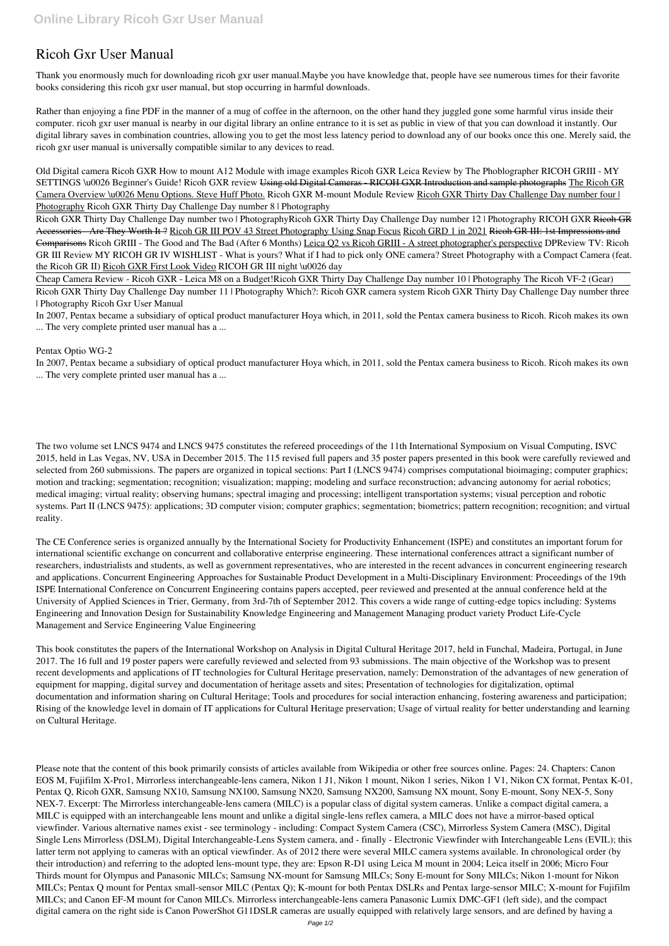## **Ricoh Gxr User Manual**

Thank you enormously much for downloading **ricoh gxr user manual**.Maybe you have knowledge that, people have see numerous times for their favorite books considering this ricoh gxr user manual, but stop occurring in harmful downloads.

Rather than enjoying a fine PDF in the manner of a mug of coffee in the afternoon, on the other hand they juggled gone some harmful virus inside their computer. **ricoh gxr user manual** is nearby in our digital library an online entrance to it is set as public in view of that you can download it instantly. Our digital library saves in combination countries, allowing you to get the most less latency period to download any of our books once this one. Merely said, the ricoh gxr user manual is universally compatible similar to any devices to read.

**Old Digital camera Ricoh GXR How to mount A12 Module with image examples** *Ricoh GXR Leica Review by The Phoblographer RICOH GRIII - MY SETTINGS \u0026 Beginner's Guide! Ricoh GXR review* Using old Digital Cameras - RICOH GXR Introduction and sample photographs The Ricoh GR Camera Overview \u0026 Menu Options. Steve Huff Photo. Ricoh GXR M-mount Module Review Ricoh GXR Thirty Day Challenge Day number four | Photography **Ricoh GXR Thirty Day Challenge Day number 8 | Photography**

Ricoh GXR Thirty Day Challenge Day number two | Photography**Ricoh GXR Thirty Day Challenge Day number 12 | Photography** RICOH GXR Ricoh GR Accessories Are They Worth It ? Ricoh GR III POV 43 Street Photography Using Snap Focus Ricoh GRD 1 in 2021 Ricoh GR III: 1st Impressions and Comparisons Ricoh GRIII - The Good and The Bad (After 6 Months) Leica Q2 vs Ricoh GRIII - A street photographer's perspective **DPReview TV: Ricoh GR III Review MY RICOH GR IV WISHLIST - What is yours? What if I had to pick only ONE camera?** *Street Photography with a Compact Camera (feat. the Ricoh GR II)* Ricoh GXR First Look Video *RICOH GR III night \u0026 day*

Cheap Camera Review - Ricoh GXR - Leica M8 on a Budget!**Ricoh GXR Thirty Day Challenge Day number 10 | Photography** *The Ricoh VF-2 (Gear)*

Ricoh GXR Thirty Day Challenge Day number 11 | Photography Which?: Ricoh GXR camera system *Ricoh GXR Thirty Day Challenge Day number three | Photography* **Ricoh Gxr User Manual**

In 2007, Pentax became a subsidiary of optical product manufacturer Hoya which, in 2011, sold the Pentax camera business to Ricoh. Ricoh makes its own ... The very complete printed user manual has a ...

## **Pentax Optio WG-2**

In 2007, Pentax became a subsidiary of optical product manufacturer Hoya which, in 2011, sold the Pentax camera business to Ricoh. Ricoh makes its own ... The very complete printed user manual has a ...

The two volume set LNCS 9474 and LNCS 9475 constitutes the refereed proceedings of the 11th International Symposium on Visual Computing, ISVC 2015, held in Las Vegas, NV, USA in December 2015. The 115 revised full papers and 35 poster papers presented in this book were carefully reviewed and selected from 260 submissions. The papers are organized in topical sections: Part I (LNCS 9474) comprises computational bioimaging; computer graphics; motion and tracking; segmentation; recognition; visualization; mapping; modeling and surface reconstruction; advancing autonomy for aerial robotics; medical imaging; virtual reality; observing humans; spectral imaging and processing; intelligent transportation systems; visual perception and robotic systems. Part II (LNCS 9475): applications; 3D computer vision; computer graphics; segmentation; biometrics; pattern recognition; recognition; and virtual reality.

The CE Conference series is organized annually by the International Society for Productivity Enhancement (ISPE) and constitutes an important forum for international scientific exchange on concurrent and collaborative enterprise engineering. These international conferences attract a significant number of researchers, industrialists and students, as well as government representatives, who are interested in the recent advances in concurrent engineering research and applications. Concurrent Engineering Approaches for Sustainable Product Development in a Multi-Disciplinary Environment: Proceedings of the 19th ISPE International Conference on Concurrent Engineering contains papers accepted, peer reviewed and presented at the annual conference held at the University of Applied Sciences in Trier, Germany, from 3rd-7th of September 2012. This covers a wide range of cutting-edge topics including: Systems Engineering and Innovation Design for Sustainability Knowledge Engineering and Management Managing product variety Product Life-Cycle Management and Service Engineering Value Engineering

This book constitutes the papers of the International Workshop on Analysis in Digital Cultural Heritage 2017, held in Funchal, Madeira, Portugal, in June 2017. The 16 full and 19 poster papers were carefully reviewed and selected from 93 submissions. The main objective of the Workshop was to present recent developments and applications of IT technologies for Cultural Heritage preservation, namely: Demonstration of the advantages of new generation of equipment for mapping, digital survey and documentation of heritage assets and sites; Presentation of technologies for digitalization, optimal documentation and information sharing on Cultural Heritage; Tools and procedures for social interaction enhancing, fostering awareness and participation; Rising of the knowledge level in domain of IT applications for Cultural Heritage preservation; Usage of virtual reality for better understanding and learning

Please note that the content of this book primarily consists of articles available from Wikipedia or other free sources online. Pages: 24. Chapters: Canon EOS M, Fujifilm X-Pro1, Mirrorless interchangeable-lens camera, Nikon 1 J1, Nikon 1 mount, Nikon 1 series, Nikon 1 V1, Nikon CX format, Pentax K-01, Pentax Q, Ricoh GXR, Samsung NX10, Samsung NX100, Samsung NX20, Samsung NX200, Samsung NX mount, Sony E-mount, Sony NEX-5, Sony NEX-7. Excerpt: The Mirrorless interchangeable-lens camera (MILC) is a popular class of digital system cameras. Unlike a compact digital camera, a MILC is equipped with an interchangeable lens mount and unlike a digital single-lens reflex camera, a MILC does not have a mirror-based optical viewfinder. Various alternative names exist - see terminology - including: Compact System Camera (CSC), Mirrorless System Camera (MSC), Digital Single Lens Mirrorless (DSLM), Digital Interchangeable-Lens System camera, and - finally - Electronic Viewfinder with Interchangeable Lens (EVIL); this latter term not applying to cameras with an optical viewfinder. As of 2012 there were several MILC camera systems available. In chronological order (by their introduction) and referring to the adopted lens-mount type, they are: Epson R-D1 using Leica M mount in 2004; Leica itself in 2006; Micro Four Thirds mount for Olympus and Panasonic MILCs; Samsung NX-mount for Samsung MILCs; Sony E-mount for Sony MILCs; Nikon 1-mount for Nikon MILCs; Pentax Q mount for Pentax small-sensor MILC (Pentax Q); K-mount for both Pentax DSLRs and Pentax large-sensor MILC; X-mount for Fujifilm MILCs; and Canon EF-M mount for Canon MILCs. Mirrorless interchangeable-lens camera Panasonic Lumix DMC-GF1 (left side), and the compact digital camera on the right side is Canon PowerShot G11DSLR cameras are usually equipped with relatively large sensors, and are defined by having a